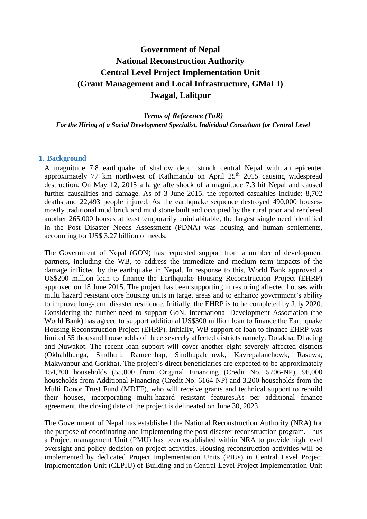# **Government of Nepal National Reconstruction Authority Central Level Project Implementation Unit (Grant Management and Local Infrastructure, GMaLI) Jwagal, Lalitpur**

*Terms of Reference (ToR) For the Hiring of a Social Development Specialist, Individual Consultant for Central Level*

## **1. Background**

A magnitude 7.8 earthquake of shallow depth struck central Nepal with an epicenter approximately 77 km northwest of Kathmandu on April  $25<sup>th</sup>$  2015 causing widespread destruction. On May 12, 2015 a large aftershock of a magnitude 7.3 hit Nepal and caused further causalities and damage. As of 3 June 2015, the reported casualties include: 8,702 deaths and 22,493 people injured. As the earthquake sequence destroyed 490,000 housesmostly traditional mud brick and mud stone built and occupied by the rural poor and rendered another 265,000 houses at least temporarily uninhabitable, the largest single need identified in the Post Disaster Needs Assessment (PDNA) was housing and human settlements, accounting for US\$ 3.27 billion of needs.

The Government of Nepal (GON) has requested support from a number of development partners, including the WB, to address the immediate and medium term impacts of the damage inflicted by the earthquake in Nepal. In response to this, World Bank approved a US\$200 million loan to finance the Earthquake Housing Reconstruction Project (EHRP) approved on 18 June 2015. The project has been supporting in restoring affected houses with multi hazard resistant core housing units in target areas and to enhance government's ability to improve long-term disaster resilience. Initially, the EHRP is to be completed by July 2020. Considering the further need to support GoN, International Development Association (the World Bank) has agreed to support additional US\$300 million loan to finance the Earthquake Housing Reconstruction Project (EHRP). Initially, WB support of loan to finance EHRP was limited 55 thousand households of three severely affected districts namely: Dolakha, Dhading and Nuwakot. The recent loan support will cover another eight severely affected districts (Okhaldhunga, Sindhuli, Ramechhap, Sindhupalchowk, Kavrepalanchowk, Rasuwa, Makwanpur and Gorkha). The project's direct beneficiaries are expected to be approximately 154,200 households (55,000 from Original Financing (Credit No. 5706-NP), 96,000 households from Additional Financing (Credit No. 6164-NP) and 3,200 households from the Multi Donor Trust Fund (MDTF), who will receive grants and technical support to rebuild their houses, incorporating multi-hazard resistant features.As per additional finance agreement, the closing date of the project is delineated on June 30, 2023.

The Government of Nepal has established the National Reconstruction Authority (NRA) for the purpose of coordinating and implementing the post-disaster reconstruction program. Thus a Project management Unit (PMU) has been established within NRA to provide high level oversight and policy decision on project activities. Housing reconstruction activities will be implemented by dedicated Project Implementation Units (PIUs) in Central Level Project Implementation Unit (CLPIU) of Building and in Central Level Project Implementation Unit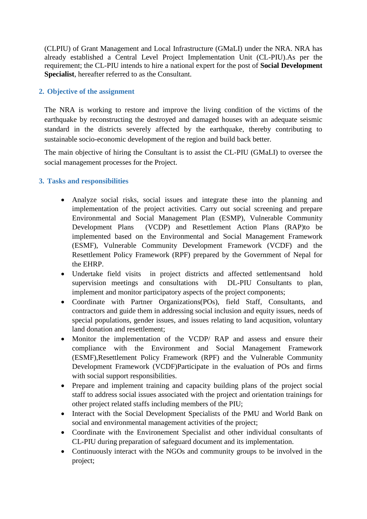(CLPIU) of Grant Management and Local Infrastructure (GMaLI) under the NRA. NRA has already established a Central Level Project Implementation Unit (CL-PIU).As per the requirement; the CL-PIU intends to hire a national expert for the post of **Social Development Specialist**, hereafter referred to as the Consultant.

# **2. Objective of the assignment**

The NRA is working to restore and improve the living condition of the victims of the earthquake by reconstructing the destroyed and damaged houses with an adequate seismic standard in the districts severely affected by the earthquake, thereby contributing to sustainable socio-economic development of the region and build back better.

The main objective of hiring the Consultant is to assist the CL-PIU (GMaLI) to oversee the social management processes for the Project.

# **3. Tasks and responsibilities**

- Analyze social risks, social issues and integrate these into the planning and implementation of the project activities. Carry out social screening and prepare Environmental and Social Management Plan (ESMP), Vulnerable Community Development Plans (VCDP) and Resettlement Action Plans (RAP)to be implemented based on the Environmental and Social Management Framework (ESMF), Vulnerable Community Development Framework (VCDF) and the Resettlement Policy Framework (RPF) prepared by the Government of Nepal for the EHRP.
- Undertake field visits in project districts and affected settlementsand hold supervision meetings and consultations with DL-PIU Consultants to plan, implement and monitor participatory aspects of the project components;
- Coordinate with Partner Organizations (POs), field Staff, Consultants, and contractors and guide them in addressing social inclusion and equity issues, needs of special populations, gender issues, and issues relating to land acqusition, voluntary land donation and resettlement;
- Monitor the implementation of the VCDP/ RAP and assess and ensure their compliance with the Environment and Social Management Framework (ESMF),Resettlement Policy Framework (RPF) and the Vulnerable Community Development Framework (VCDF)Participate in the evaluation of POs and firms with social support responsibilities.
- Prepare and implement training and capacity building plans of the project social staff to address social issues associated with the project and orientation trainings for other project related staffs including members of the PIU;
- Interact with the Social Development Specialists of the PMU and World Bank on social and environmental management activities of the project;
- Coordinate with the Environement Specialist and other individual consultants of CL-PIU during preparation of safeguard document and its implementation.
- Continuously interact with the NGOs and community groups to be involved in the project;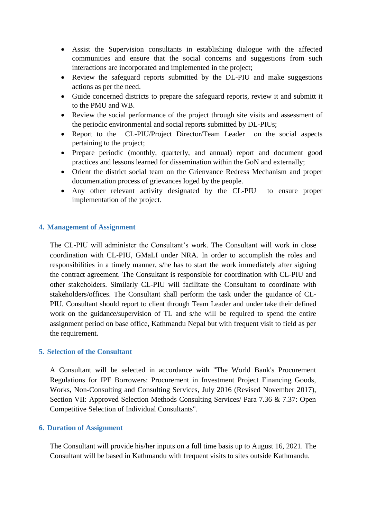- Assist the Supervision consultants in establishing dialogue with the affected communities and ensure that the social concerns and suggestions from such interactions are incorporated and implemented in the project;
- Review the safeguard reports submitted by the DL-PIU and make suggestions actions as per the need.
- Guide concerned districts to prepare the safeguard reports, review it and submitt it to the PMU and WB.
- Review the social performance of the project through site visits and assessment of the periodic environmental and social reports submitted by DL-PIUs;
- Report to the CL-PIU/Project Director/Team Leader on the social aspects pertaining to the project;
- Prepare periodic (monthly, quarterly, and annual) report and document good practices and lessons learned for dissemination within the GoN and externally;
- Orient the district social team on the Grienvance Redress Mechanism and proper documentation process of grievances loged by the people.
- Any other relevant activity designated by the CL-PIU to ensure proper implementation of the project.

## **4. Management of Assignment**

The CL-PIU will administer the Consultant's work. The Consultant will work in close coordination with CL-PIU, GMaLI under NRA. In order to accomplish the roles and responsibilities in a timely manner, s/he has to start the work immediately after signing the contract agreement. The Consultant is responsible for coordination with CL-PIU and other stakeholders. Similarly CL-PIU will facilitate the Consultant to coordinate with stakeholders/offices. The Consultant shall perform the task under the guidance of CL-PIU. Consultant should report to client through Team Leader and under take their defined work on the guidance/supervision of TL and s/he will be required to spend the entire assignment period on base office, Kathmandu Nepal but with frequent visit to field as per the requirement.

## **5. Selection of the Consultant**

A Consultant will be selected in accordance with "The World Bank's Procurement Regulations for IPF Borrowers: Procurement in Investment Project Financing Goods, Works, Non-Consulting and Consulting Services, July 2016 (Revised November 2017), Section VII: Approved Selection Methods Consulting Services/ Para 7.36 & 7.37: Open Competitive Selection of Individual Consultants".

## **6. Duration of Assignment**

The Consultant will provide his/her inputs on a full time basis up to August 16, 2021. The Consultant will be based in Kathmandu with frequent visits to sites outside Kathmandu.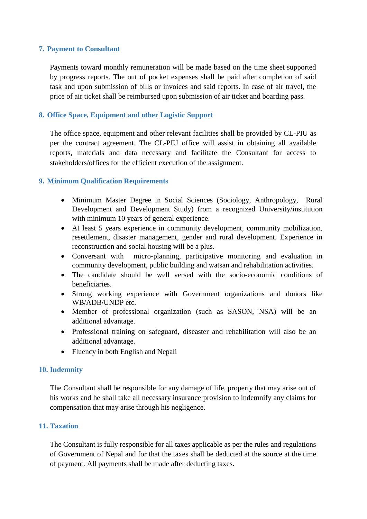# **7. Payment to Consultant**

Payments toward monthly remuneration will be made based on the time sheet supported by progress reports. The out of pocket expenses shall be paid after completion of said task and upon submission of bills or invoices and said reports. In case of air travel, the price of air ticket shall be reimbursed upon submission of air ticket and boarding pass.

## **8. Office Space, Equipment and other Logistic Support**

The office space, equipment and other relevant facilities shall be provided by CL-PIU as per the contract agreement. The CL-PIU office will assist in obtaining all available reports, materials and data necessary and facilitate the Consultant for access to stakeholders/offices for the efficient execution of the assignment.

## **9. Minimum Qualification Requirements**

- Minimum Master Degree in Social Sciences (Sociology, Anthropology, Rural Development and Development Study) from a recognized University/institution with minimum 10 years of general experience.
- At least 5 years experience in community development, community mobilization, resettlement, disaster management, gender and rural development. Experience in reconstruction and social housing will be a plus.
- Conversant with micro-planning, participative monitoring and evaluation in community development, public building and watsan and rehabilitation activities.
- The candidate should be well versed with the socio-economic conditions of beneficiaries.
- Strong working experience with Government organizations and donors like WB/ADB/UNDP etc.
- Member of professional organization (such as SASON, NSA) will be an additional advantage.
- Professional training on safeguard, diseaster and rehabilitation will also be an additional advantage.
- Fluency in both English and Nepali

## **10. Indemnity**

The Consultant shall be responsible for any damage of life, property that may arise out of his works and he shall take all necessary insurance provision to indemnify any claims for compensation that may arise through his negligence.

## **11. Taxation**

The Consultant is fully responsible for all taxes applicable as per the rules and regulations of Government of Nepal and for that the taxes shall be deducted at the source at the time of payment. All payments shall be made after deducting taxes.